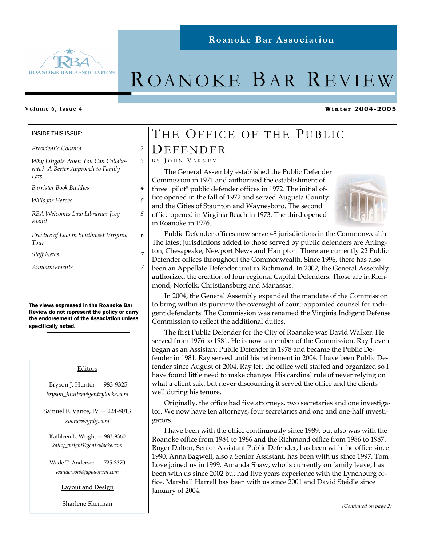

# ROANOKE BAR REVIEW

### **Volume 6, Issue 4**

INSIDE THIS ISSUE:

*President's Column 2* 

*Why Litigate When You Can Collaborate? A Better Approach to Family Law* 

*Barrister Book Buddies 4* 

*Wills for Heroes 5* 

*RBA Welcomes Law Librarian Joey Klein!* 

*Practice of Law in Southwest Virginia Tour* 

*Staff News 7* 

*Announcements 7* 

The views expressed in the Roanoke Bar Review do not represent the policy or carry the endorsement of the Association unless specifically noted.

### Editors

 Bryson J. Hunter — 983-9325 *bryson\_hunter@gentrylocke.com* 

Samuel F. Vance, IV — 224-8013 *svance@gfdg.com* 

Kathleen L. Wright — 983-9360 *kathy\_wright@gentrylocke.com* 

Wade T. Anderson — 725-3370 *wanderson@faplawfirm.com* 

Layout and Design

Sharlene Sherman

## THE OFFICE OF THE PUBLIC DEFENDER

### B Y J OHN V ARNEY

*3* 

*5* 

*6* 

The General Assembly established the Public Defender Commission in 1971 and authorized the establishment of three "pilot" public defender offices in 1972. The initial office opened in the fall of 1972 and served Augusta County and the Cities of Staunton and Waynesboro. The second office opened in Virginia Beach in 1973. The third opened in Roanoke in 1976.



**Winter 2004-2005** 

Public Defender offices now serve 48 jurisdictions in the Commonwealth. The latest jurisdictions added to those served by public defenders are Arlington, Chesapeake, Newport News and Hampton. There are currently 22 Public Defender offices throughout the Commonwealth. Since 1996, there has also been an Appellate Defender unit in Richmond. In 2002, the General Assembly authorized the creation of four regional Capital Defenders. Those are in Richmond, Norfolk, Christiansburg and Manassas.

In 2004, the General Assembly expanded the mandate of the Commission to bring within its purview the oversight of court-appointed counsel for indigent defendants. The Commission was renamed the Virginia Indigent Defense Commission to reflect the additional duties.

The first Public Defender for the City of Roanoke was David Walker. He served from 1976 to 1981. He is now a member of the Commission. Ray Leven began as an Assistant Public Defender in 1978 and became the Public Defender in 1981. Ray served until his retirement in 2004. I have been Public Defender since August of 2004. Ray left the office well staffed and organized so I have found little need to make changes. His cardinal rule of never relying on what a client said but never discounting it served the office and the clients well during his tenure.

Originally, the office had five attorneys, two secretaries and one investigator. We now have ten attorneys, four secretaries and one and one-half investigators.

I have been with the office continuously since 1989, but also was with the Roanoke office from 1984 to 1986 and the Richmond office from 1986 to 1987. Roger Dalton, Senior Assistant Public Defender, has been with the office since 1990. Anna Bagwell, also a Senior Assistant, has been with us since 1997. Tom Love joined us in 1999. Amanda Shaw, who is currently on family leave, has been with us since 2002 but had five years experience with the Lynchburg office. Marshall Harrell has been with us since 2001 and David Steidle since January of 2004.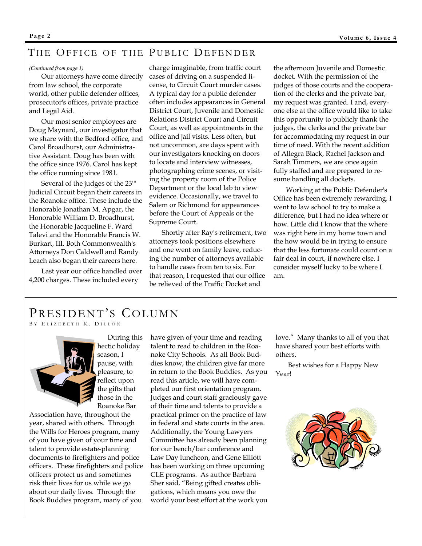## THE OFFICE OF THE PUBLIC DEFENDER

### *(Continued from page 1)*

Our attorneys have come directly from law school, the corporate world, other public defender offices, prosecutor's offices, private practice and Legal Aid.

Our most senior employees are Doug Maynard, our investigator that we share with the Bedford office, and Carol Broadhurst, our Administrative Assistant. Doug has been with the office since 1976. Carol has kept the office running since 1981.

Several of the judges of the 23'" Judicial Circuit began their careers in the Roanoke office. These include the Honorable Jonathan M. Apgar, the Honorable William D. Broadhurst, the Honorable Jacqueline F. Ward Talevi and the Honorable Francis W. Burkart, III. Both Commonwealth's Attorneys Don Caldwell and Randy Leach also began their careers here.

Last year our office handled over 4,200 charges. These included every

charge imaginable, from traffic court cases of driving on a suspended license, to Circuit Court murder cases. A typical day for a public defender often includes appearances in General District Court, Juvenile and Domestic Relations District Court and Circuit Court, as well as appointments in the office and jail visits. Less often, but not uncommon, are days spent with our investigators knocking on doors to locate and interview witnesses, photographing crime scenes, or visiting the property room of the Police Department or the local lab to view evidence. Occasionally, we travel to Salem or Richmond for appearances before the Court of Appeals or the Supreme Court.

Shortly after Ray's retirement, two attorneys took positions elsewhere and one went on family leave, reducing the number of attorneys available to handle cases from ten to six. For that reason, I requested that our office be relieved of the Traffic Docket and

the afternoon Juvenile and Domestic docket. With the permission of the judges of those courts and the cooperation of the clerks and the private bar, my request was granted. I and, everyone else at the office would like to take this opportunity to publicly thank the judges, the clerks and the private bar for accommodating my request in our time of need. With the recent addition of Allegra Black, Rachel Jackson and Sarah Timmers, we are once again fully staffed and are prepared to resume handling all dockets.

Working at the Public Defender's Office has been extremely rewarding. I went to law school to try to make a difference, but I had no idea where or how. Little did I know that the where was right here in my home town and the how would be in trying to ensure that the less fortunate could count on a fair deal in court, if nowhere else. I consider myself lucky to be where I am.

## PRESIDENT'S COLUMN

B Y E LIZEBETH K. D ILLON



 During this hectic holiday season, I pause, with pleasure, to reflect upon the gifts that those in the Roanoke Bar

Association have, throughout the year, shared with others. Through the Wills for Heroes program, many of you have given of your time and talent to provide estate-planning documents to firefighters and police officers. These firefighters and police officers protect us and sometimes risk their lives for us while we go about our daily lives. Through the Book Buddies program, many of you

have given of your time and reading talent to read to children in the Roanoke City Schools. As all Book Buddies know, the children give far more in return to the Book Buddies. As you read this article, we will have completed our first orientation program. Judges and court staff graciously gave of their time and talents to provide a practical primer on the practice of law in federal and state courts in the area. Additionally, the Young Lawyers Committee has already been planning for our bench/bar conference and Law Day luncheon, and Gene Elliott has been working on three upcoming CLE programs. As author Barbara Sher said, "Being gifted creates obligations, which means you owe the world your best effort at the work you

love." Many thanks to all of you that have shared your best efforts with others.

Best wishes for a Happy New Year!

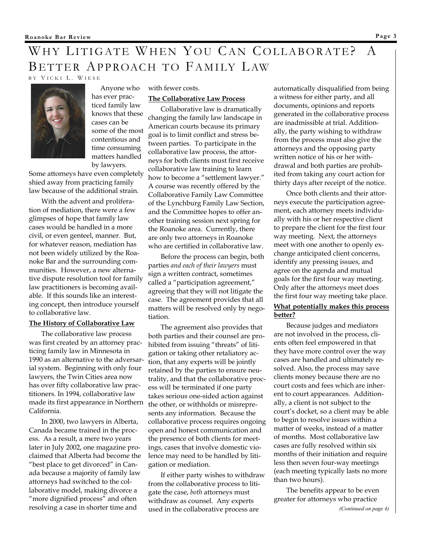## WHY LITIGATE WHEN YOU CAN COLLABORATE? A BETTER APPROACH TO FAMILY LAW B Y V ICKI L. W IESE



 Anyone who has ever practiced family law knows that these cases can be some of the most contentious and time consuming matters handled by lawyers.

Some attorneys have even completely shied away from practicing family law because of the additional strain.

With the advent and proliferation of mediation, there were a few glimpses of hope that family law cases would be handled in a more civil, or even genteel, manner. But, for whatever reason, mediation has not been widely utilized by the Roanoke Bar and the surrounding communities. However, a new alternative dispute resolution tool for family law practitioners is becoming available. If this sounds like an interesting concept, then introduce yourself to collaborative law.

### **The History of Collaborative Law**

The collaborative law process was first created by an attorney practicing family law in Minnesota in 1990 as an alternative to the adversarial system. Beginning with only four lawyers, the Twin Cities area now has over fifty collaborative law practitioners. In 1994, collaborative law made its first appearance in Northern California.

In 2000, two lawyers in Alberta, Canada became trained in the process. As a result, a mere two years later in July 2002, one magazine proclaimed that Alberta had become the "best place to get divorced" in Canada because a majority of family law attorneys had switched to the collaborative model, making divorce a "more dignified process" and often resolving a case in shorter time and

### with fewer costs.

### **The Collaborative Law Process**

Collaborative law is dramatically changing the family law landscape in American courts because its primary goal is to limit conflict and stress between parties. To participate in the collaborative law process, the attorneys for both clients must first receive collaborative law training to learn how to become a "settlement lawyer." A course was recently offered by the Collaborative Family Law Committee of the Lynchburg Family Law Section, and the Committee hopes to offer another training session next spring for the Roanoke area. Currently, there are only two attorneys in Roanoke who are certified in collaborative law.

Before the process can begin, both parties *and each of their lawyers* must sign a written contract, sometimes called a "participation agreement," agreeing that they will not litigate the case. The agreement provides that all matters will be resolved only by negotiation.

The agreement also provides that both parties and their counsel are prohibited from issuing "threats" of litigation or taking other retaliatory action, that any experts will be jointly retained by the parties to ensure neutrality, and that the collaborative process will be terminated if one party takes serious one-sided action against the other, or withholds or misrepresents any information. Because the collaborative process requires ongoing open and honest communication and the presence of both clients for meetings, cases that involve domestic violence may need to be handled by litigation or mediation.

If either party wishes to withdraw from the collaborative process to litigate the case, *both* attorneys must withdraw as counsel. Any experts used in the collaborative process are

automatically disqualified from being a witness for either party, and all documents, opinions and reports generated in the collaborative process are inadmissible at trial. Additionally, the party wishing to withdraw from the process must also give the attorneys and the opposing party written notice of his or her withdrawal and both parties are prohibited from taking any court action for thirty days after receipt of the notice.

Once both clients and their attorneys execute the participation agreement, each attorney meets individually with his or her respective client to prepare the client for the first four way meeting. Next, the attorneys meet with one another to openly exchange anticipated client concerns, identify any pressing issues, and agree on the agenda and mutual goals for the first four way meeting. Only after the attorneys meet does the first four way meeting take place.

### **What potentially makes this process better?**

Because judges and mediators are not involved in the process, clients often feel empowered in that they have more control over the way cases are handled and ultimately resolved. Also, the process may save clients money because there are no court costs and fees which are inherent to court appearances. Additionally, a client is not subject to the court's docket, so a client may be able to begin to resolve issues within a matter of weeks, instead of a matter of months. Most collaborative law cases are fully resolved within six months of their initiation and require less then seven four-way meetings (each meeting typically lasts no more than two hours).

The benefits appear to be even greater for attorneys who practice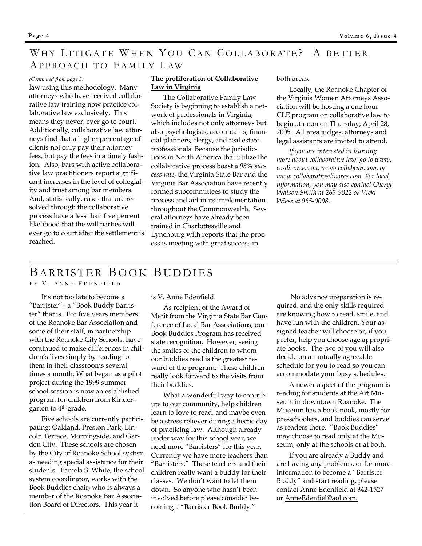## WHY LITIGATE WHEN YOU CAN COLLABORATE? A BETTER APPROACH TO FAMILY LAW

law using this methodology. Many attorneys who have received collaborative law training now practice collaborative law exclusively. This means they never, ever go to court. Additionally, collaborative law attorneys find that a higher percentage of clients not only pay their attorney fees, but pay the fees in a timely fashion. Also, bars with active collaborative law practitioners report significant increases in the level of collegiality and trust among bar members. And, statistically, cases that are resolved through the collaborative process have a less than five percent likelihood that the will parties will ever go to court after the settlement is reached.

### (Continued from page 3) **The proliferation of Collaborative** both areas. **Law in Virginia**

The Collaborative Family Law Society is beginning to establish a network of professionals in Virginia, which includes not only attorneys but also psychologists, accountants, financial planners, clergy, and real estate professionals. Because the jurisdictions in North America that utilize the collaborative process boast a *98% success rate*, the Virginia State Bar and the Virginia Bar Association have recently formed subcommittees to study the process and aid in its implementation throughout the Commonwealth. Several attorneys have already been trained in Charlottesville and Lynchburg with reports that the process is meeting with great success in

Locally, the Roanoke Chapter of the Virginia Women Attorneys Association will be hosting a one hour CLE program on collaborative law to begin at noon on Thursday, April 28, 2005. All area judges, attorneys and legal assistants are invited to attend.

*If you are interested in learning more about collaborative law, go to www. co-divorce.com, www.collabcan.com, or www.collaborativedivorce.com. For local information, you may also contact Cheryl Watson Smith at 265-9022 or Vicki Wiese at 985-0098.* 

## BARRISTER BOOK BUDDIES

## BY V. ANNE EDENFIELD

It's not too late to become a "Barrister"– a "Book Buddy Barrister" that is. For five years members of the Roanoke Bar Association and some of their staff, in partnership with the Roanoke City Schools, have continued to make differences in children's lives simply by reading to them in their classrooms several times a month. What began as a pilot project during the 1999 summer school session is now an established program for children from Kindergarten to 4th grade.

Five schools are currently participating: Oakland, Preston Park, Lincoln Terrace, Morningside, and Garden City. These schools are chosen by the City of Roanoke School system as needing special assistance for their students. Pamela S. White, the school system coordinator, works with the Book Buddies chair, who is always a member of the Roanoke Bar Association Board of Directors. This year it

is V. Anne Edenfield.

As recipient of the Award of Merit from the Virginia State Bar Conference of Local Bar Associations, our Book Buddies Program has received state recognition. However, seeing the smiles of the children to whom our buddies read is the greatest reward of the program. These children really look forward to the visits from their buddies.

What a wonderful way to contribute to our community, help children learn to love to read, and maybe even be a stress reliever during a hectic day of practicing law. Although already under way for this school year, we need more "Barristers" for this year. Currently we have more teachers than "Barristers." These teachers and their children really want a buddy for their classes. We don't want to let them down. So anyone who hasn't been involved before please consider becoming a "Barrister Book Buddy."

 No advance preparation is required, and the only skills required are knowing how to read, smile, and have fun with the children. Your assigned teacher will choose or, if you prefer, help you choose age appropriate books. The two of you will also decide on a mutually agreeable schedule for you to read so you can accommodate your busy schedules.

A newer aspect of the program is reading for students at the Art Museum in downtown Roanoke. The Museum has a book nook, mostly for pre-schoolers, and buddies can serve as readers there. "Book Buddies" may choose to read only at the Museum, only at the schools or at both.

If you are already a Buddy and are having any problems, or for more information to become a "Barrister Buddy" and start reading, please contact Anne Edenfield at 342-1527 or AnneEdenfiel@aol.com.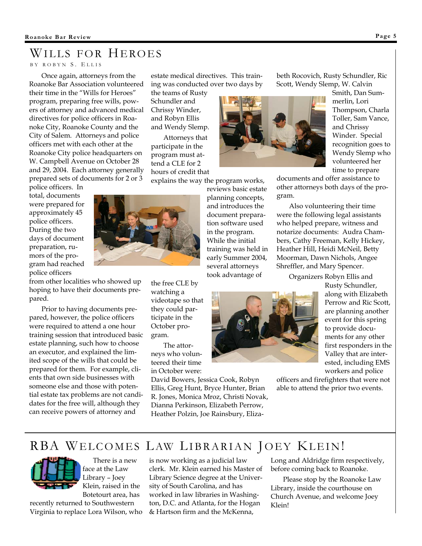## WILLS FOR HEROES

B Y ROBYN S. E LLIS

Once again, attorneys from the Roanoke Bar Association volunteered their time in the "Wills for Heroes" program, preparing free wills, powers of attorney and advanced medical directives for police officers in Roanoke City, Roanoke County and the City of Salem. Attorneys and police officers met with each other at the Roanoke City police headquarters on W. Campbell Avenue on October 28 and 29, 2004. Each attorney generally prepared sets of documents for 2 or 3

police officers. In total, documents were prepared for approximately 45 police officers. During the two days of document preparation, rumors of the program had reached police officers

from other localities who showed up hoping to have their documents prepared.

Prior to having documents prepared, however, the police officers were required to attend a one hour training session that introduced basic estate planning, such how to choose an executor, and explained the limited scope of the wills that could be prepared for them. For example, clients that own side businesses with someone else and those with potential estate tax problems are not candidates for the free will, although they can receive powers of attorney and

estate medical directives. This training was conducted over two days by

the teams of Rusty Schundler and Chrissy Winder, and Robyn Ellis and Wendy Slemp.

Attorneys that participate in the program must attend a CLE for 2 hours of credit that

explains the way the program works,

reviews basic estate planning concepts, and introduces the document preparation software used in the program. While the initial training was held in early Summer 2004, several attorneys took advantage of



beth Rocovich, Rusty Schundler, Ric Scott, Wendy Slemp, W. Calvin

> Smith, Dan Summerlin, Lori Thompson, Charla Toller, Sam Vance, and Chrissy Winder. Special recognition goes to Wendy Slemp who volunteered her time to prepare

documents and offer assistance to other attorneys both days of the program.

Also volunteering their time were the following legal assistants who helped prepare, witness and notarize documents: Audra Chambers, Cathy Freeman, Kelly Hickey, Heather Hill, Heidi McNeil, Betty Moorman, Dawn Nichols, Angee Shreffler, and Mary Spencer.

Organizers Robyn Ellis and

Rusty Schundler, along with Elizabeth Perrow and Ric Scott, are planning another event for this spring to provide documents for any other first responders in the Valley that are interested, including EMS workers and police

officers and firefighters that were not able to attend the prior two events.

## RBA WELCOMES LAW LIBRARIAN JOEY KLEIN!

 There is a new face at the Law Library – Joey Klein, raised in the Botetourt area, has

recently returned to Southwestern Virginia to replace Lora Wilson, who is now working as a judicial law clerk. Mr. Klein earned his Master of Library Science degree at the University of South Carolina, and has worked in law libraries in Washington, D.C. and Atlanta, for the Hogan & Hartson firm and the McKenna,

Long and Aldridge firm respectively, before coming back to Roanoke.

Please stop by the Roanoke Law Library, inside the courthouse on Church Avenue, and welcome Joey Klein!

the free CLE by watching a videotape so that they could participate in the October program.

The attorneys who volunteered their time in October were:

David Bowers, Jessica Cook, Robyn Ellis, Greg Hunt, Bryce Hunter, Brian R. Jones, Monica Mroz, Christi Novak, Dianna Perkinson, Elizabeth Perrow, Heather Polzin, Joe Rainsbury, Eliza-

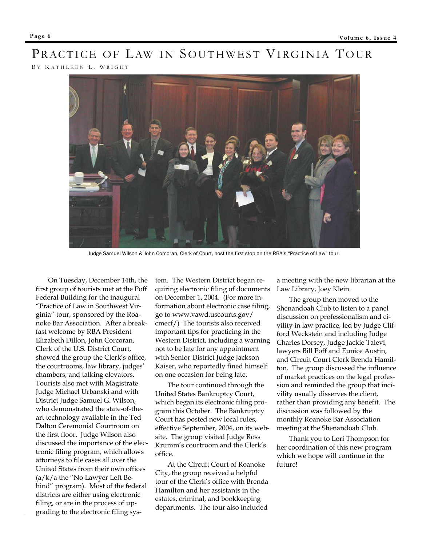# PRACTICE OF LAW IN SOUTHWEST VIRGINIA TOUR

B Y K ATHLEEN L. W RIGHT



Judge Samuel Wilson & John Corcoran, Clerk of Court, host the first stop on the RBA's "Practice of Law" tour.

On Tuesday, December 14th, the first group of tourists met at the Poff Federal Building for the inaugural "Practice of Law in Southwest Virginia" tour, sponsored by the Roanoke Bar Association. After a breakfast welcome by RBA President Elizabeth Dillon, John Corcoran, Clerk of the U.S. District Court, showed the group the Clerk's office, the courtrooms, law library, judges' chambers, and talking elevators. Tourists also met with Magistrate Judge Michael Urbanski and with District Judge Samuel G. Wilson, who demonstrated the state-of-theart technology available in the Ted Dalton Ceremonial Courtroom on the first floor. Judge Wilson also discussed the importance of the electronic filing program, which allows attorneys to file cases all over the United States from their own offices (a/k/a the "No Lawyer Left Behind" program). Most of the federal districts are either using electronic filing, or are in the process of upgrading to the electronic filing sys-

tem. The Western District began requiring electronic filing of documents on December 1, 2004. (For more information about electronic case filing, go to www.vawd.uscourts.gov/ cmecf/) The tourists also received important tips for practicing in the Western District, including a warning not to be late for any appointment with Senior District Judge Jackson Kaiser, who reportedly fined himself on one occasion for being late.

The tour continued through the United States Bankruptcy Court, which began its electronic filing program this October. The Bankruptcy Court has posted new local rules, effective September, 2004, on its website. The group visited Judge Ross Krumm's courtroom and the Clerk's office.

At the Circuit Court of Roanoke City, the group received a helpful tour of the Clerk's office with Brenda Hamilton and her assistants in the estates, criminal, and bookkeeping departments. The tour also included

a meeting with the new librarian at the Law Library, Joey Klein.

The group then moved to the Shenandoah Club to listen to a panel discussion on professionalism and civility in law practice, led by Judge Clifford Weckstein and including Judge Charles Dorsey, Judge Jackie Talevi, lawyers Bill Poff and Eunice Austin, and Circuit Court Clerk Brenda Hamilton. The group discussed the influence of market practices on the legal profession and reminded the group that incivility usually disserves the client, rather than providing any benefit. The discussion was followed by the monthly Roanoke Bar Association meeting at the Shenandoah Club.

Thank you to Lori Thompson for her coordination of this new program which we hope will continue in the future!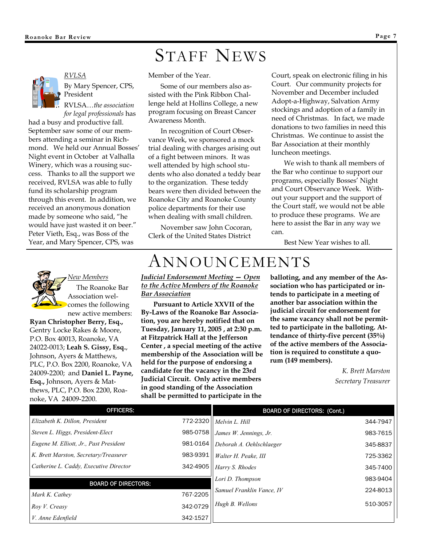# STAFF NEWS



*RVLSA* By Mary Spencer, CPS, President

RVLSA…*the association for legal professionals* has

had a busy and productive fall. September saw some of our members attending a seminar in Richmond. We held our Annual Bosses' Night event in October at Valhalla Winery, which was a rousing success. Thanks to all the support we received, RVLSA was able to fully fund its scholarship program through this event. In addition, we received an anonymous donation made by someone who said, "he would have just wasted it on beer." Peter Vieth, Esq., was Boss of the Year, and Mary Spencer, CPS, was

Member of the Year.

Some of our members also assisted with the Pink Ribbon Challenge held at Hollins College, a new program focusing on Breast Cancer Awareness Month.

In recognition of Court Observance Week, we sponsored a mock trial dealing with charges arising out of a fight between minors. It was well attended by high school students who also donated a teddy bear to the organization. These teddy bears were then divided between the Roanoke City and Roanoke County police departments for their use when dealing with small children.

November saw John Cocoran, Clerk of the United States District

Court, speak on electronic filing in his Court. Our community projects for November and December included Adopt-a-Highway, Salvation Army stockings and adoption of a family in need of Christmas. In fact, we made donations to two families in need this Christmas. We continue to assist the Bar Association at their monthly luncheon meetings.

We wish to thank all members of the Bar who continue to support our programs, especially Bosses' Night and Court Observance Week. Without your support and the support of the Court staff, we would not be able to produce these programs. We are here to assist the Bar in any way we can.

Best New Year wishes to all.

*New Members* The Roanoke Bar Association welcomes the following new active members:

**Ryan Christopher Berry, Esq.,** Gentry Locke Rakes & Moore, P.O. Box 40013, Roanoke, VA 24022-0013; **Leah S. Gissy, Esq.**, Johnson, Ayers & Matthews, PLC, P.O. Box 2200, Roanoke, VA 24009-2200; and **Daniel L. Payne, Esq.,** Johnson, Ayers & Matthews, PLC, P.O. Box 2200, Roanoke, VA 24009-2200.

# ANNOUNCEMENTS

*Judicial Endorsement Meeting — Open to the Active Members of the Roanoke Bar Association*

**Pursuant to Article XXVII of the By-Laws of the Roanoke Bar Association, you are hereby notified that on Tuesday, January 11, 2005 , at 2:30 p.m. at Fitzpatrick Hall at the Jefferson Center , a special meeting of the active membership of the Association will be held for the purpose of endorsing a candidate for the vacancy in the 23rd Judicial Circuit. Only active members in good standing of the Association shall be permitted to participate in the** 

**balloting, and any member of the Association who has participated or intends to participate in a meeting of another bar association within the judicial circuit for endorsement for the same vacancy shall not be permitted to participate in the balloting. Attendance of thirty-five percent (35%) of the active members of the Association is required to constitute a quorum (149 members).** 

> *K. Brett Marston Secretary Treasurer*

| <b>OFFICERS:</b>                       |          | <b>BOARD OF DIRECTORS: (Cont.)</b> |          |
|----------------------------------------|----------|------------------------------------|----------|
| Elizabeth K. Dillon, President         | 772-2320 | Melvin L. Hill                     | 344-7947 |
| Steven L. Higgs, President-Elect       | 985-0758 | James W. Jennings, Jr.             | 983-7615 |
| Eugene M. Elliott, Jr., Past President | 981-0164 | Deborah A. Oehlschlaeger           | 345-8837 |
| K. Brett Marston, Secretary/Treasurer  | 983-9391 | Walter H. Peake, III               | 725-3362 |
| Catherine L. Caddy, Executive Director | 342-4905 | Harry S. Rhodes                    | 345-7400 |
| <b>BOARD OF DIRECTORS:</b>             |          | Lori D. Thompson                   | 983-9404 |
|                                        |          | Samuel Franklin Vance, IV          | 224-8013 |
| Mark K. Cathey                         | 767-2205 |                                    |          |
| Roy V. Creasy                          | 342-0729 | Hugh B. Wellons                    | 510-3057 |
| V. Anne Edenfield                      | 342-1527 |                                    |          |